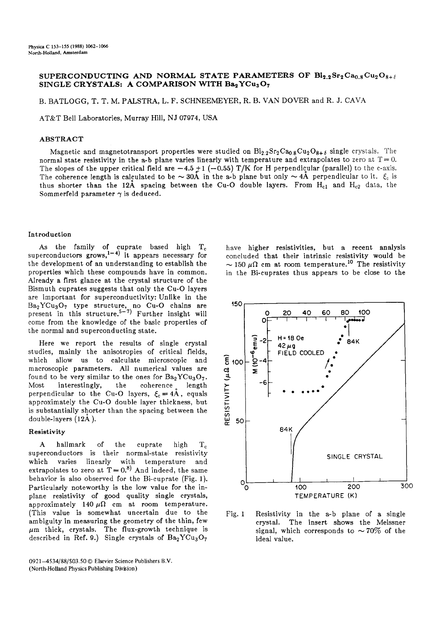# SUPERCONDUCTING AND NORMAL STATE PARAMETERS OF  $Bi_{2.2}Sr_2Ca_{0.8}Cu_2O_{8+\delta}$ SINGLE CRYSTALS: A COMPARISON WITH Ba<sub>2</sub>YCu<sub>3</sub>O<sub>7</sub>

B. BATLOGG, T. T. M. PALSTRA, L. F. SCHNEEMEYER, R. B. VAN DOVER and R. J. CAVA

AT&T Bell Laboratories, Murray Hill, NJ 07974, USA

# ABSTRACT

Magnetic and magnetotransport properties were studied on  $Bi_22Sr_2Ca_0gCu_2O_{8+\delta}$  single crystals. The normal state resistivity in the a-b plane varies linearly with temperature and extrapolates to zero at  $T = 0$ . The slopes of the upper critical field are  $-4.5 \pm 1$  ( $-0.55$ ) T/K for H perpendicular (parallel) to the c-axis. The coherence length is calculated to be  $\sim$  30A in the a-b plane but only  $\sim$  4A perpendicular to it.  $\zeta_{\rm c}$  is thus shorter than the 12A spacing between the Cu-O double layers. From  $H_{c1}$  and  $H_{c2}$  data, the Sommerfeld parameter  $\gamma$  is deduced.

#### Introduction

As the family of cuprate based high  $T_c$ superconductors grows,<sup>1-4)</sup> it appears necessary for the development of an understanding to establish the properties which these compounds have in common. Already a first glance at the crystal structure of the Bismuth cuprates suggests that only the Cu-O layers are important for superconductivity: Unlike in the  $Ba_2YCu_3O_7$  type structure, no Cu-O chains are t50 present in this structure.<sup>5-7)</sup> Further insight will come from the knowledge of the basic properties of the normal and superconducting state.

Here we report the results of single crystal studies, mainly the anisotropies of critical fields, studies, mainly the anisotropies of critical fields,<br>which allow us to calculate microscopic and<br>macroscopic parameters. All numerical values are<br>found to be very similar to the ones for  $Ba_2YCu_3O_7$ .<br>Most interestingly, macroscopic parameters. All numerical values are found to be very similar to the ones for  $Ba_2YCu_3O_7$ . Most interestingly, the coherence length perpendicular to the Cu-O layers,  $\xi_c = 4\AA$ , equals approximately the Cu-O double layer thickness, but is substantially shorter than the spacing between the double-layers  $(12\text{\AA})$ .

## **Resistivity**

A hallmark of the cuprate high  $T_c$ superconductors is their normal-state resistivity which varies linearly with temperature and extrapolates to zero at  $T=0.8$  And indeed, the same behavior is also observed for the Bi-cuprate (Fig. 1).  $\qquad \qquad$  0 Particularly noteworthy is the low value for the inplane resistivity of good quality single crystals, approximately 140  $\mu\Omega$  cm at room temperature. (This value is somewhat uncertain due to the Fig. 1 ambiguity in measuring the geometry of the thin, few  $\mu$ m thick, crystals. The flux-growth technique is described in Ref. 9.) Single crystals of  $Ba<sub>2</sub>YCu<sub>3</sub>O<sub>7</sub>$ 

0921-4534/88/\$03.50 © Elsevier Science Publishers B.V. (North-Holland Physics Publishing Division)

have higher resistivities, but a recent analysis concluded that their intrinsic resistivity would be  $\sim$  150  $\mu\Omega$  cm at room temperature.<sup>10</sup> The resistivity in the Bi-cuprates thus appears to be close to the



Resistivity in the a-b plane of a single crystal. The insert shows the Meissner signal, which corresponds to  $\sim 70\%$  of the ideal value.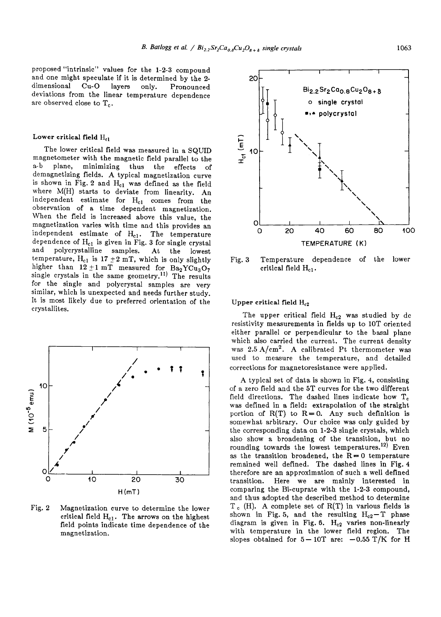proposed "intrinsic" values for the 1-2-3 compound and one might speculate if it is determined by the 2 dimensional Cu-O layers only. Pronounced deviations from the linear temperature dependence are observed close to  $T_c$ .

### Lower critical field  $H_{c1}$

The lower critical field was measured in a SQUID magnetometer with the magnetic field parallel to the  $a-b$  plane, minimizing thus the effects of plane, minimizing thus the effects of demagnetizing fields. A typical magnetization curve is shown in Fig. 2 and  $H_{c1}$  was defined as the field where M(H) starts to deviate from linearity. An independent estimate for H<sub>cl</sub> comes from the observation of a time dependent magnetization. When the field is increased above this value, the magnetization varies with time and this provides an independent estimate of  $H_{c1}$ . The temperature dependence of  $\rm H_{c1}$  is given in Fig. 3 for single crystal and polycrystalline samples. At the lowest temperature,  $H_{c1}$  is 17  $\pm 2$  mT, which is only slightly higher than  $12\pm1$  mT measured for  $\text{Ba}_2\text{YCu}_3\text{O}_7$ single crystals in the same geometry.<sup>11)</sup> The results for the single and polycrystal samples are very similar, which is unexpected and needs further study. It is most likely due to preferred orientation of the crystallites.



Fig. 2 Magnetization curve to determine the lower critical field  $H_{c1}$ . The arrows on the highest field points indicate time dependence of the magnetization.



Fig. 3 Temperature dependence of the lower critical field  $H_{c1}$ .

# Upper critical field  $H_{c2}$

The upper critical field  $H_{c2}$  was studied by dc resistivity measurements in fields up to 10T oriented either parallel or perpendicular to the basal plane which also carried the current. The current density was  $2.5 \text{ A/cm}^2$ . A calibrated Pt thermometer was used to measure the temperature, and detailed corrections for magnetoresistance were applied.

A typical set of data is shown in Fig. 4, consisting of a zero field and the 5T curves for the two different field directions. The dashed lines indicate how  $T_c$ was defined in a field: extrapolation of the **straight**  portion of  $R(T)$  to  $R=0$ . Any such definition is somewhat arbitrary. Our choice was only guided by the corresponding data on 1-2-3 single crystals, which also show a broadening of the transition, but no rounding towards the lowest temperatures.<sup>12)</sup> Even as the transition broadened, the  $R=0$  temperature remained well defined. The dashed lines in Fig. 4 therefore are an approximation of such a well defined transition. Here we are mainly interested in comparing the Bi-cuprate with the 1-2-3 compound, and thus adopted the described method to determine  $T_c$  (H). A complete set of R(T) in various fields is shown in Fig. 5, and the resulting  $\rm{H_{c2}-T}$  phase diagram is given in Fig. 6.  $\rm\,H_{c2}$  varies non-linearly with temperature in the lower field region. The slopes obtained for  $5-10T$  are:  $-0.55$  T/K for H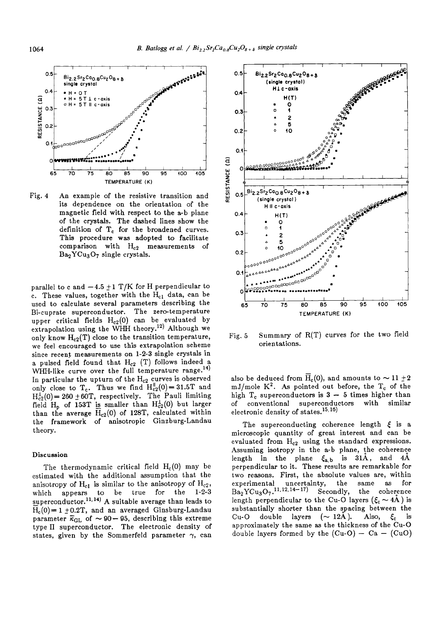

Fig. 4 An example of the resistive transition and its dependence on the orientation of the magnetic field with respect to the a-b plane of the crystals. The dashed lines show the definition of T<sub>c</sub> for the broadened curves. This procedure was adopted to facilitate comparison with  $H_{c2}$  measurements of  $Ba<sub>2</sub>YCu<sub>3</sub>O<sub>7</sub>$  single crystals.

parallel to c and  $-4.5 \pm 1$  T/K for H perpendicular to c. These values, together with the  $H_{c1}$  data, can be used to calculate several parameters describing the Bi-cuprate superconductor. The zero-temperature upper critical fields  $H_{c2}(0)$  can be evaluated by extrapolation using the WHH theory.<sup>12)</sup> Although we only know  $H_{c2}(T)$  close to the transition temperature, we feel encouraged to use this extrapolation scheme since recent measurements on 1-2-3 single crystals in a pulsed field found that  $H_{c2}$  (T) follows indeed a WHH-like curve over the full temperature range.<sup>14)</sup> In particular the upturn of the  $H_{c2}$  curves is observed only close to  $T_c$ . Thus we find  $H_{c2}^{||}(0)=31.5T$  and  $H_{c2}^{1}(0)= 260 \pm 60$ T, respectively. The Pauli limiting field H<sub>p</sub> of 153T is smaller than  $H_{c2}^{L}(0)$  but larger than the average  $H_{c2}(0)$  of 128T, calculated within the framework of anisotropic Ginzburg-Landau theory.

## **Discussion**

The thermodynamic critical field  $H_c(0)$  may be estimated with the additional assumption that the anisotropy of  $H_{c1}$  is similar to the anisotropy of  $H_{c2}$ , which appears to be true for the 1-2-3 superconductor.<sup>11,14)</sup> A suitable average than leads to  $\overline{H}_c(0)=1 \pm 0.2T$ , and an averaged Ginsburg-Landau parameter  $\bar{\kappa}_{\text{GL}}$  of  $\sim 90-95$ , describing this extreme type II superconductor. The electronic density of states, given by the Sommerfeld parameter  $\gamma$ , can



Fig. 5 Summary of R(T) curves for the two field orientations.

also be deduced from  $H_c(0)$ , and amounts to  $\sim 11 \pm 2$ mJ/mole  $K^2$ . As pointed out before, the  $T_c$  of the high  $T_c$  superconductors is  $3 - 5$  times higher than of conventional superconductors with similar electronic density of states.<sup>15,16)</sup>

The superconducting coherence length  $\xi$  is a microscopic quantity of great interest and can be evaluated from He2 using the standard expressions. Assuming isotropy in the a-b plane, the coherence length in the plane  $\xi_{a,b}$  is 31A, and 4A perpendicular to it. These results are remarkable for two reasons. First, the absolute values are, within experimental uncertainty, the same as for  $Ba_2YCu_3O_7$ .<sup>11, 12, 14-17)</sup> Secondly, the coherence length perpendicular to the Cu-O layers ( $\xi_c \sim 4\text{\AA}$ ) is substantially shorter than the spacing between the Cu-O double layers  $(\sim 12\text{\AA})$ . Also,  $\xi_c$  is approximately the same as the thickness of the Cu-O double layers formed by the  $(Cu-O) - Ca - (CuO)$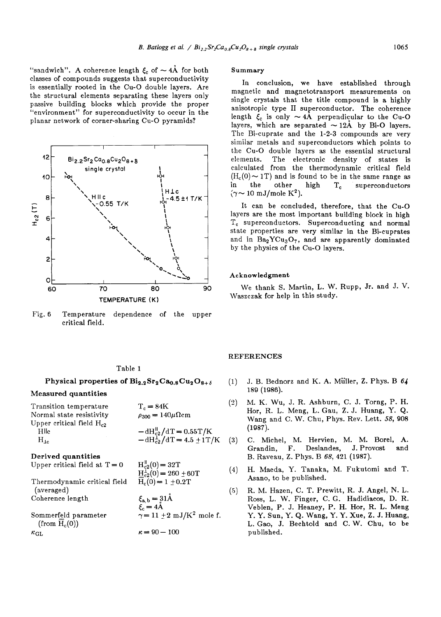"sandwich". A coherence length  $\xi_c$  of  $\sim 4\text{\AA}$  for both classes of compounds suggests that superconductivity is essentially rooted in the Cu-O double layers. Are the structural elements separating these layers only passive building blocks which provide the proper "environment" for superconductivity to occur in the planar network of corner-sharing Cu-O pyramids?



Fig. 6 Temperature dependence of the upper critical field.

# Table 1

Physical properties of  $\text{Bi}_{2.2}\text{Sr}_2\text{Ca}_{0.8}\text{Cu}_2\text{O}_{8+\delta}$ 

## **Measured quantities**

| Transition temperature<br>Normal state resistivity | $T_c = 84K$<br>$\rho_{300} = 140 \mu \Omega \text{cm}$                           |
|----------------------------------------------------|----------------------------------------------------------------------------------|
| Upper critical field $H_{c2}$<br>Hlle<br>$H_{16}$  | $-\frac{dH_{c2}^{\text{II}}}{dT} = 0.55T/K$<br>$-dH_{c2}^{T}/dT = 4.5 \pm 1 T/K$ |
| Derived quantities                                 |                                                                                  |
| Upper critical field at $T = 0$                    | $H_{c2}^{\parallel}(0) = 32T$<br>$H_{c2}^{\perp}(0) = 260 \pm 60T$               |
| Thermodynamic critical field<br>(averaged)         | $\overline{H}_c(0) = 1 \pm 0.2T$                                                 |
| Coherence length                                   | $\xi_{a,b} = 31 \text{\AA}$<br>$\xi_{c} = 4 \text{\AA}$                          |
| Sommerfeld parameter                               | $\gamma = 11 \pm 2 \text{ mJ/K}^2$ mole f.                                       |

 $\kappa = 90 - 100$ 

ommerfeld parameter (from  $H_c(0)$ )  $\kappa_{\mathrm{GL}}$ 

# **Summary**

In conclusion, we have established through magnetic and magnetotransport measurements on single crystals that the title compound is a highly anisotropic type II superconductor. The coherence length  $\xi_c$  is only  $\sim 4\text{\AA}$  perpendicular to the Cu-O layers, which are separated  $\sim 12\text{\AA}$  by Bi-O layers. The Bi-cuprate and the 1-2-3 compounds are very similar metals and superconductors which points to the Cu-O double layers as the essential structural elements. The electronic density of states is calculated from the thermodynamic critical field  $(H_c(0) \sim 1T)$  and is found to be in the same range as in the other high  $T_c$  superconductors  $(\gamma \sim 10 \text{ mJ/mole K}^2)$ .

It can be concluded, therefore, that the Cu-O layers are the most important building block in high T<sub>c</sub> superconductors. Superconducting and normal state properties are very similar in the Bi-cuprates and in  $Ba_2YCu_3O_7$ , and are apparently dominated by the physics of the Cu-O layers.

#### Acknowledgment

We thank S. Martin, L. W. Rupp, Jr. and J. V. Waszczak for help in this study.

### REFERENCES

- (1) J.B. Bednorz and K. A. M{iller, Z. Phys. B *64*  189 (1988).
- (2) M.K. Wu, J. R. Ashburn, C. J. Torng, P. H. Hor, R. L. Meng, L. Gau, Z.J. Huang, Y. Q. Wang and C. W. Chu, Phys. Rev. Lett. *58,* 908 (1987).
- (3) C. Michel, M. Hervien, M. M. Borel, A. Grandin, F. Deslandes, J. Provost and B. Raveau, Z. Phys. B *68,* 421 (1987).
- (4) H. Maeda, Y. Tanaka, M. Fukutomi and T. Asano, to be published.
- (5) R.M. Hazen, C. T. Prewitt, R. J. Angel, N. L. Ross, L. W. Finger, C.G. Hadidiacos, D. R. Veblen, P. J. Heaney, P. H. Hor, R. L. **Meng**  Y. Y. Sun, Y. Q. Wang, Y. Y. Xue, Z. J. Huang, L. Gao, J. Bechtold and C.W. Chu, to be published.